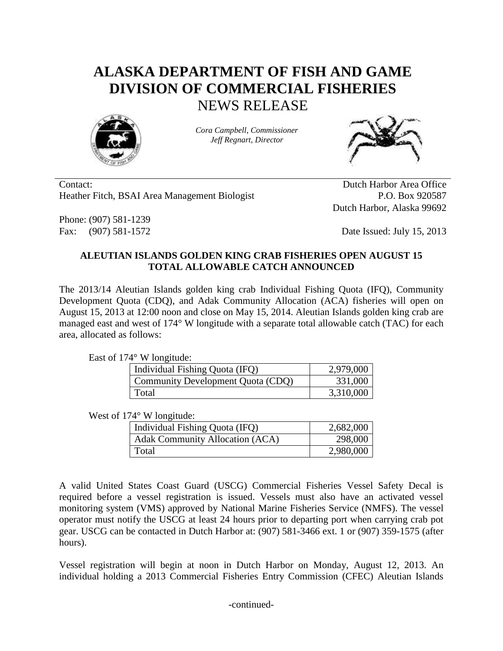## **ALASKA DEPARTMENT OF FISH AND GAME DIVISION OF COMMERCIAL FISHERIES** NEWS RELEASE



*Cora Campbell, Commissioner Jeff Regnart, Director*



Contact: Dutch Harbor Area Office Heather Fitch, BSAI Area Management Biologist P.O. Box 920587

Phone: (907) 581-1239

Dutch Harbor, Alaska 99692

Fax: (907) 581-1572 Date Issued: July 15, 2013

## **ALEUTIAN ISLANDS GOLDEN KING CRAB FISHERIES OPEN AUGUST 15 TOTAL ALLOWABLE CATCH ANNOUNCED**

The 2013/14 Aleutian Islands golden king crab Individual Fishing Quota (IFQ), Community Development Quota (CDQ), and Adak Community Allocation (ACA) fisheries will open on August 15, 2013 at 12:00 noon and close on May 15, 2014. Aleutian Islands golden king crab are managed east and west of 174° W longitude with a separate total allowable catch (TAC) for each area, allocated as follows:

East of 174° W longitude:

| Individual Fishing Quota (IFQ)    | 2,979,000 |
|-----------------------------------|-----------|
| Community Development Quota (CDQ) | 331,000   |
| Total                             | 3,310,000 |

West of 174° W longitude:

| Individual Fishing Quota (IFQ)         | 2,682,000 |
|----------------------------------------|-----------|
| <b>Adak Community Allocation (ACA)</b> | 298,000   |
| Total                                  | 2,980,000 |

A valid United States Coast Guard (USCG) Commercial Fisheries Vessel Safety Decal is required before a vessel registration is issued. Vessels must also have an activated vessel monitoring system (VMS) approved by National Marine Fisheries Service (NMFS). The vessel operator must notify the USCG at least 24 hours prior to departing port when carrying crab pot gear. USCG can be contacted in Dutch Harbor at: (907) 581-3466 ext. 1 or (907) 359-1575 (after hours).

Vessel registration will begin at noon in Dutch Harbor on Monday, August 12, 2013. An individual holding a 2013 Commercial Fisheries Entry Commission (CFEC) Aleutian Islands